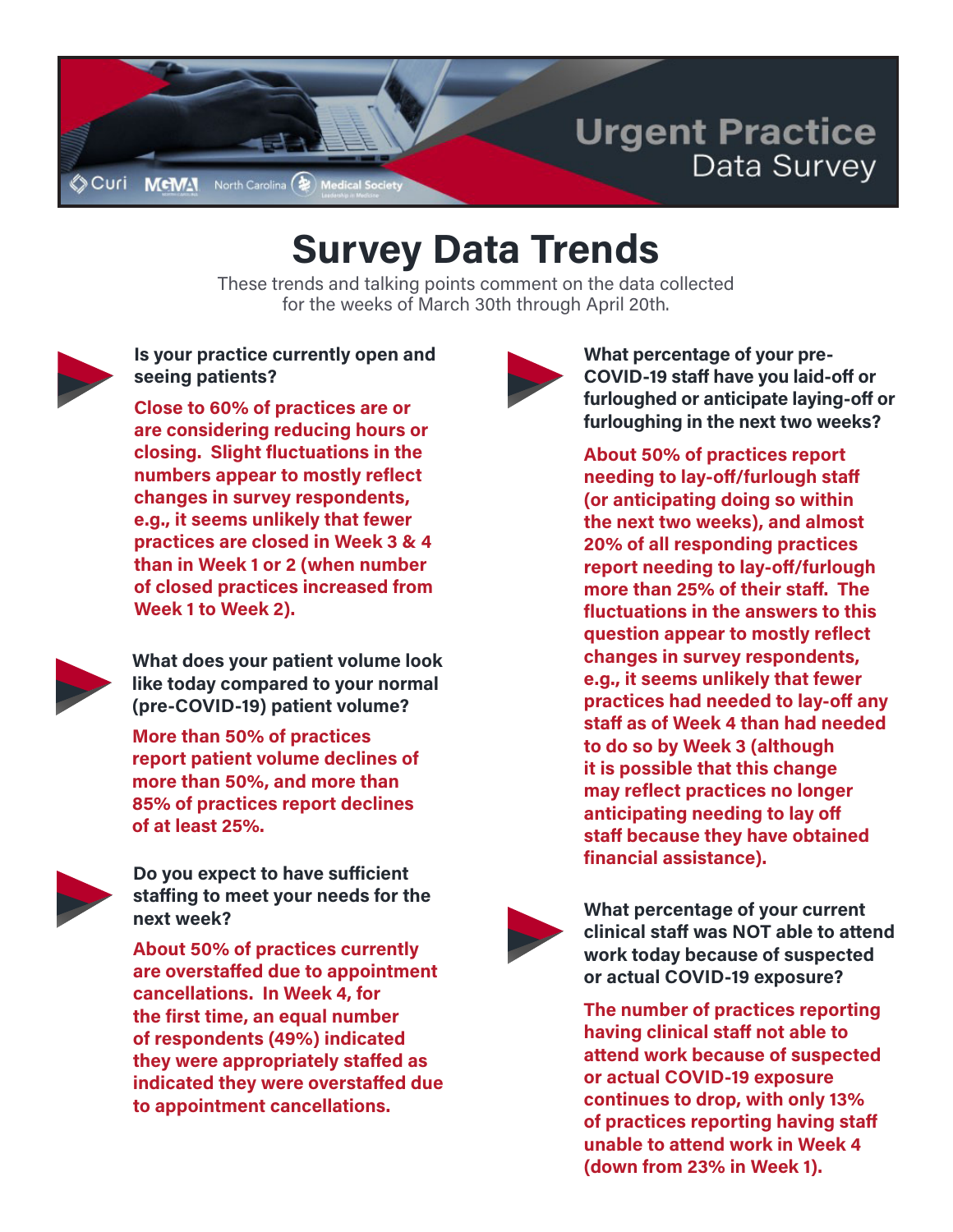

## **Survey Data Trends**

These trends and talking points comment on the data collected for the weeks of March 30th through April 20th.



## **Is your practice currently open and seeing patients?**

**Close to 60% of practices are or are considering reducing hours or closing. Slight fluctuations in the numbers appear to mostly reflect changes in survey respondents, e.g., it seems unlikely that fewer practices are closed in Week 3 & 4 than in Week 1 or 2 (when number of closed practices increased from Week 1 to Week 2).**



**What does your patient volume look like today compared to your normal (pre-COVID-19) patient volume?**

**More than 50% of practices report patient volume declines of more than 50%, and more than 85% of practices report declines of at least 25%.**



**Do you expect to have sufficient staffing to meet your needs for the next week?**

**About 50% of practices currently are overstaffed due to appointment cancellations. In Week 4, for the first time, an equal number of respondents (49%) indicated they were appropriately staffed as indicated they were overstaffed due to appointment cancellations.**



**What percentage of your pre-COVID-19 staff have you laid-off or furloughed or anticipate laying-off or furloughing in the next two weeks?**

**About 50% of practices report needing to lay-off/furlough staff (or anticipating doing so within the next two weeks), and almost 20% of all responding practices report needing to lay-off/furlough more than 25% of their staff. The fluctuations in the answers to this question appear to mostly reflect changes in survey respondents, e.g., it seems unlikely that fewer practices had needed to lay-off any staff as of Week 4 than had needed to do so by Week 3 (although it is possible that this change may reflect practices no longer anticipating needing to lay off staff because they have obtained financial assistance).** 



**What percentage of your current clinical staff was NOT able to attend work today because of suspected or actual COVID-19 exposure?**

**The number of practices reporting having clinical staff not able to attend work because of suspected or actual COVID-19 exposure continues to drop, with only 13% of practices reporting having staff unable to attend work in Week 4 (down from 23% in Week 1).**